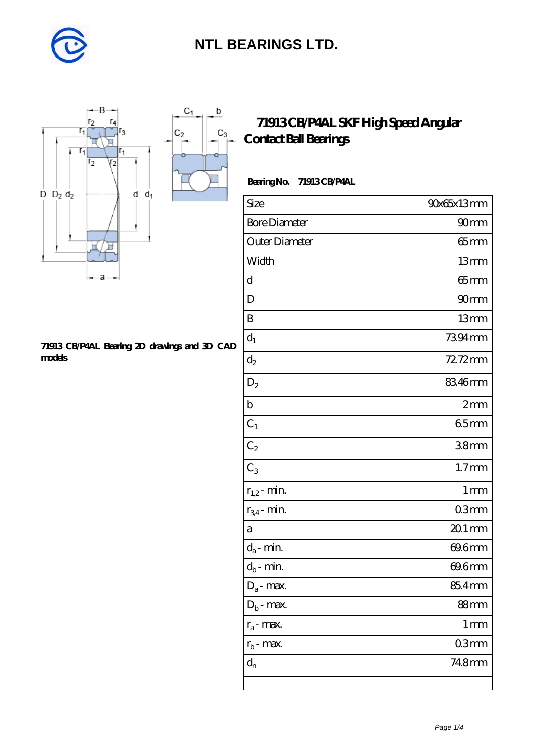

 $\mathsf b$ 

ó

 $C_3$ 



#### **[71913 CB/P4AL Bearing 2D drawings and 3D CAD](https://m.diabetesfriends.net/pic-590730.html) [models](https://m.diabetesfriends.net/pic-590730.html)**

### **[71913 CB/P4AL SKF High Speed Angular](https://m.diabetesfriends.net/skf-bearing/71913-cb-p4al.html) [Contact Ball Bearings](https://m.diabetesfriends.net/skf-bearing/71913-cb-p4al.html)**

#### **Bearing No. 71913 CB/P4AL**

| Size                       | 90x65x13mm        |
|----------------------------|-------------------|
| <b>Bore Diameter</b>       | 90 <sub>mm</sub>  |
| Outer Diameter             | $65$ mm           |
| Width                      | 13mm              |
| d                          | $65$ mm           |
| D                          | 90 <sub>mm</sub>  |
| B                          | 13mm              |
| $d_1$                      | 7394mm            |
| $d_2$                      | 72.72mm           |
| $\mathrm{D}_2$             | 8346mm            |
| $\mathbf b$                | 2mm               |
| $C_1$                      | 65mm              |
| $C_2$                      | 38mm              |
| $\overline{C_3}$           | 1.7 <sub>mm</sub> |
| $r_{1,2}$ - min.           | 1 <sub>mm</sub>   |
| $r_{34}$ - min.            | 03mm              |
| a                          | $201$ mm          |
| $d_a$ - min.               | 69.6mm            |
| $d_b\operatorname{-} \min$ | 69.6mm            |
| $D_a$ - max.               | 85.4mm            |
| $Db$ - max.                | 88mm              |
| $r_a$ - max.               | $1 \,\mathrm{mm}$ |
| $r_{b}$ - max.             | 03mm              |
| $d_{n}$                    | 748mm             |
|                            |                   |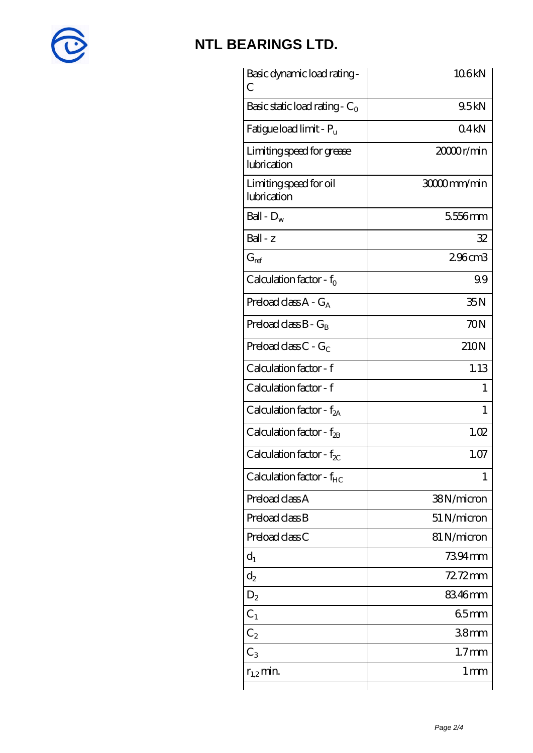

| Basic dynamic load rating-<br>С          | 106kN           |
|------------------------------------------|-----------------|
| Basic static load rating - $C_0$         | 9.5kN           |
| Fatigue load limit - $P_u$               | 04kN            |
| Limiting speed for grease<br>lubrication | 20000r/min      |
| Limiting speed for oil<br>lubrication    | 30000mm/min     |
| Ball - $D_w$                             | 5556mm          |
| $Ball - z$                               | 32              |
| $G_{ref}$                                | 296cm3          |
| Calculation factor - $f_0$               | 99              |
| Preload class $A - G_A$                  | 35N             |
| Preload class $B - G_B$                  | 70N             |
| Preload class C - $G_C$                  | 210N            |
| Calculation factor - f                   | 1.13            |
| Calculation factor - f                   | 1               |
| Calculation factor - f <sub>2A</sub>     | 1               |
| Calculation factor - f <sub>2B</sub>     | 1.02            |
| Calculation factor - $f_{\chi}$          | 1.07            |
| Calculation factor - $f_{HC}$            | 1               |
| Preload class A                          | 38N/micron      |
| Preload class B                          | 51 N/micron     |
| Preload class C                          | 81 N/micron     |
| $d_1$                                    | 7394mm          |
| $\mathrm{d}_2$                           | 72.72mm         |
| $D_2$                                    | 83.46mm         |
| $C_1$                                    | 65mm            |
| $C_{2}$                                  | 38mm            |
| $C_3$                                    | $1.7$ mm        |
| $r_{1,2}$ min.                           | 1 <sub>mm</sub> |
|                                          |                 |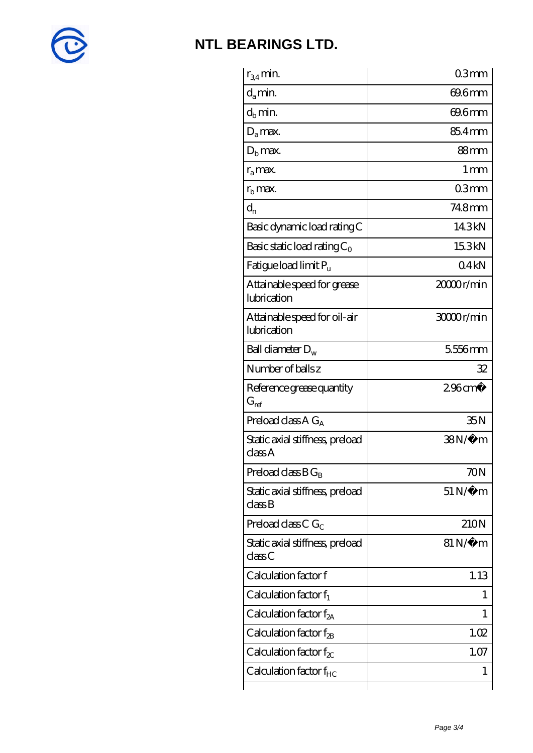

| $r_{34}$ min.                               | 03mm                  |
|---------------------------------------------|-----------------------|
| $d_a$ min.                                  | 69.6mm                |
| $d_b$ min.                                  | 69.6mm                |
| $D_a$ max.                                  | 85.4mm                |
| $Db$ max.                                   | 88mm                  |
| $r_{a}$ max.                                | 1 mm                  |
| $rb$ max.                                   | 03mm                  |
| $d_{n}$                                     | 748mm                 |
| Basic dynamic load rating C                 | 143kN                 |
| Basic static load rating $C_0$              | 15.3kN                |
| Fatigue load limit Pu                       | 04kN                  |
| Attainable speed for grease<br>lubrication  | 20000r/min            |
| Attainable speed for oil-air<br>lubrication | 30000r/min            |
| Ball diameter $D_w$                         | 5556mm                |
| Number of balls z                           | 32                    |
| Reference grease quantity<br>$G_{ref}$      | $296$ cm <sup>3</sup> |
| Preload class $A G_A$                       | 35N                   |
| Static axial stiffness, preload<br>classA   | $38N/\mu$ m           |
| Preload class $BG_B$                        | 70N                   |
| Static axial stiffness, preload<br>classB   | $51\,\mathrm{N}\mu$ m |
| Preload class C $G_C$                       | 210N                  |
| Static axial stiffness, preload<br>classC   | $81\,\mathrm{N}\mu$ m |
| Calculation factor f                        | 1.13                  |
| Calculation factor $f_1$                    | L                     |
| Calculation factor $f_{2A}$                 | 1                     |
| Calculation factor f <sub>2B</sub>          | 1.02                  |
| Calculation factor $f_{\chi}$               | 1.07                  |
|                                             |                       |
| Calculation factor $f_{HC}$                 | 1                     |